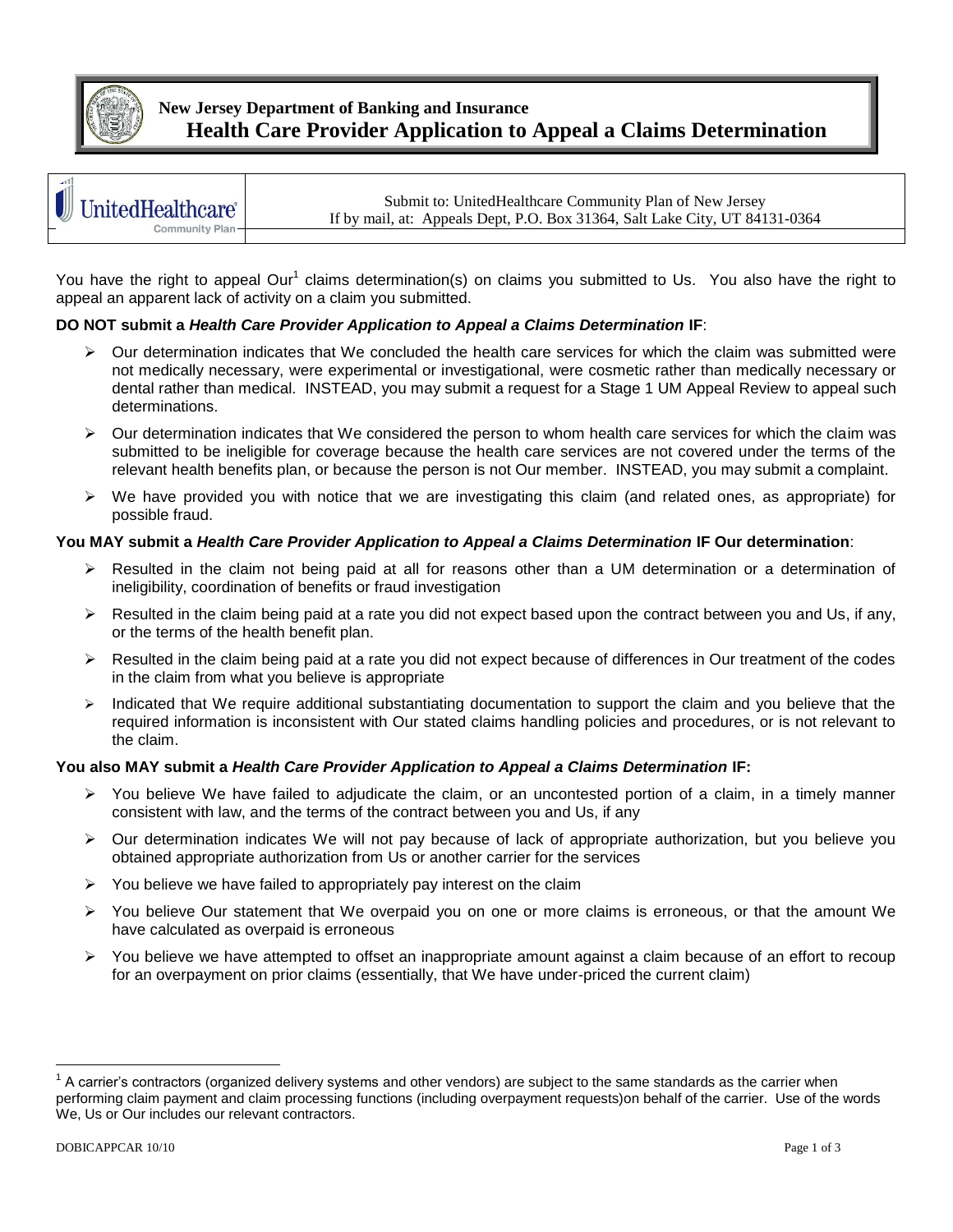

## **New Jersey Department of Banking and Insurance Health Care Provider Application to Appeal a Claims Determination**

| $-111$                                              | Submit to: UnitedHealthcare Community Plan of New Jersey                    |
|-----------------------------------------------------|-----------------------------------------------------------------------------|
| $\left  \rule{0pt}{2.4pt} \right $ UnitedHealthcare | If by mail, at: Appeals Dept, P.O. Box 31364, Salt Lake City, UT 84131-0364 |
| Community Plan-<br>—                                |                                                                             |

You have the right to appeal Our<sup>1</sup> claims determination(s) on claims you submitted to Us. You also have the right to appeal an apparent lack of activity on a claim you submitted.

### **DO NOT submit a** *Health Care Provider Application to Appeal a Claims Determination* **IF**:

- $\triangleright$  Our determination indicates that We concluded the health care services for which the claim was submitted were not medically necessary, were experimental or investigational, were cosmetic rather than medically necessary or dental rather than medical. INSTEAD, you may submit a request for a Stage 1 UM Appeal Review to appeal such determinations.
- $\triangleright$  Our determination indicates that We considered the person to whom health care services for which the claim was submitted to be ineligible for coverage because the health care services are not covered under the terms of the relevant health benefits plan, or because the person is not Our member. INSTEAD, you may submit a complaint.
- $\triangleright$  We have provided you with notice that we are investigating this claim (and related ones, as appropriate) for possible fraud.

#### **You MAY submit a** *Health Care Provider Application to Appeal a Claims Determination* **IF Our determination**:

- $\triangleright$  Resulted in the claim not being paid at all for reasons other than a UM determination or a determination of ineligibility, coordination of benefits or fraud investigation
- $\triangleright$  Resulted in the claim being paid at a rate you did not expect based upon the contract between you and Us, if any, or the terms of the health benefit plan.
- $\triangleright$  Resulted in the claim being paid at a rate you did not expect because of differences in Our treatment of the codes in the claim from what you believe is appropriate
- Indicated that We require additional substantiating documentation to support the claim and you believe that the required information is inconsistent with Our stated claims handling policies and procedures, or is not relevant to the claim.

#### **You also MAY submit a** *Health Care Provider Application to Appeal a Claims Determination* **IF:**

- You believe We have failed to adjudicate the claim, or an uncontested portion of a claim, in a timely manner consistent with law, and the terms of the contract between you and Us, if any
- $\triangleright$  Our determination indicates We will not pay because of lack of appropriate authorization, but you believe you obtained appropriate authorization from Us or another carrier for the services
- $\triangleright$  You believe we have failed to appropriately pay interest on the claim
- $\triangleright$  You believe Our statement that We overpaid you on one or more claims is erroneous, or that the amount We have calculated as overpaid is erroneous
- You believe we have attempted to offset an inappropriate amount against a claim because of an effort to recoup for an overpayment on prior claims (essentially, that We have under-priced the current claim)

 $\overline{a}$ 

 $1$  A carrier's contractors (organized delivery systems and other vendors) are subject to the same standards as the carrier when performing claim payment and claim processing functions (including overpayment requests)on behalf of the carrier. Use of the words We, Us or Our includes our relevant contractors.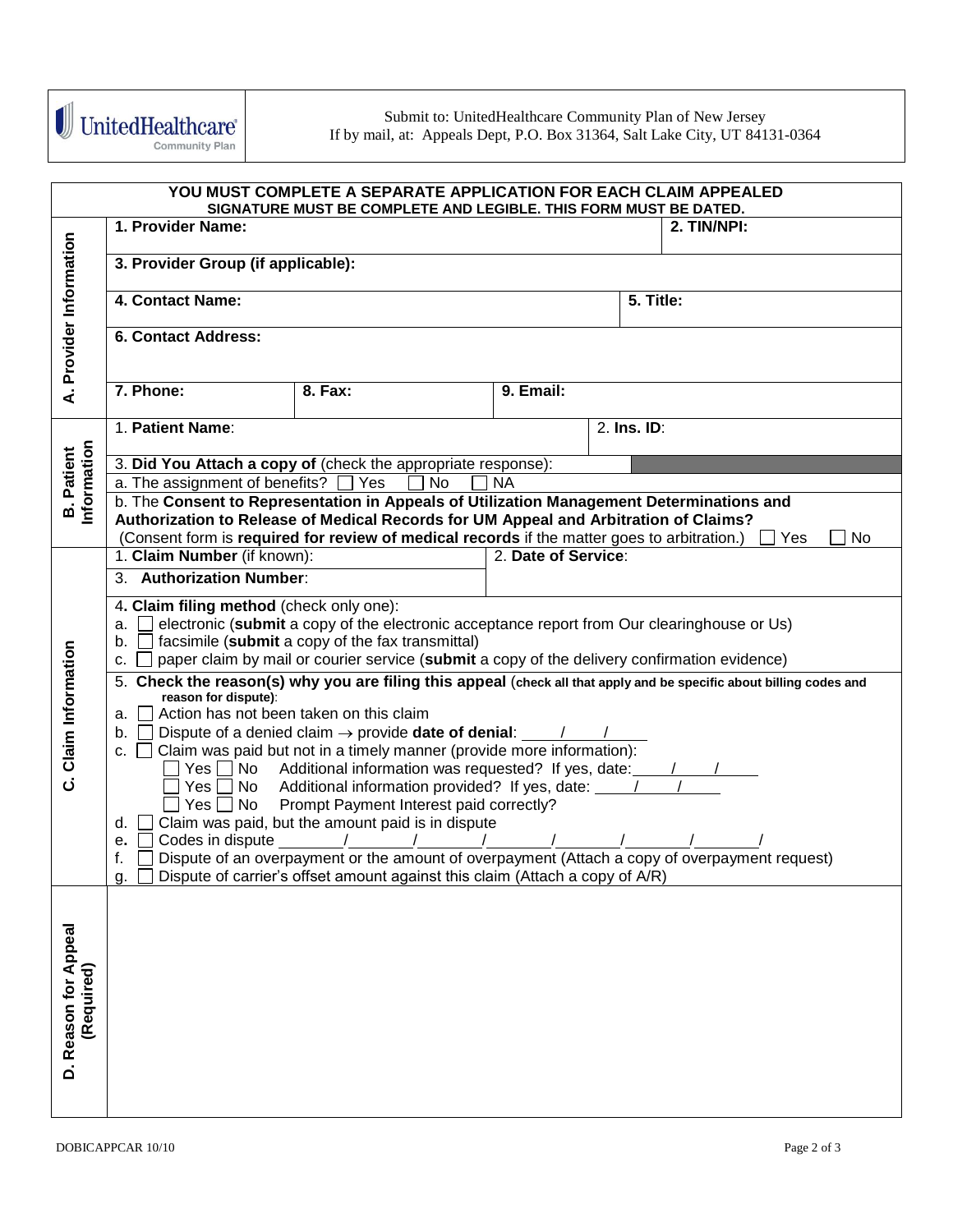

| YOU MUST COMPLETE A SEPARATE APPLICATION FOR EACH CLAIM APPEALED<br>SIGNATURE MUST BE COMPLETE AND LEGIBLE. THIS FORM MUST BE DATED. |                                                                                                                                                                  |                                                                                                                                                                                  |                     |             |                                                                                                                     |  |
|--------------------------------------------------------------------------------------------------------------------------------------|------------------------------------------------------------------------------------------------------------------------------------------------------------------|----------------------------------------------------------------------------------------------------------------------------------------------------------------------------------|---------------------|-------------|---------------------------------------------------------------------------------------------------------------------|--|
|                                                                                                                                      | 1. Provider Name:                                                                                                                                                |                                                                                                                                                                                  |                     |             | 2. TIN/NPI:                                                                                                         |  |
|                                                                                                                                      | 3. Provider Group (if applicable):                                                                                                                               |                                                                                                                                                                                  |                     |             |                                                                                                                     |  |
|                                                                                                                                      | 4. Contact Name:                                                                                                                                                 |                                                                                                                                                                                  |                     | 5. Title:   |                                                                                                                     |  |
| A. Provider Information                                                                                                              | <b>6. Contact Address:</b>                                                                                                                                       |                                                                                                                                                                                  |                     |             |                                                                                                                     |  |
|                                                                                                                                      | 7. Phone:                                                                                                                                                        | 8. Fax:                                                                                                                                                                          | 9. Email:           |             |                                                                                                                     |  |
|                                                                                                                                      | 1. Patient Name:                                                                                                                                                 |                                                                                                                                                                                  |                     | 2. Ins. ID: |                                                                                                                     |  |
| Information<br><b>B.</b> Patient                                                                                                     |                                                                                                                                                                  | 3. Did You Attach a copy of (check the appropriate response):                                                                                                                    |                     |             |                                                                                                                     |  |
|                                                                                                                                      | a. The assignment of benefits? [ Yes                                                                                                                             | <b>No</b>                                                                                                                                                                        | <b>NA</b>           |             |                                                                                                                     |  |
|                                                                                                                                      |                                                                                                                                                                  | b. The Consent to Representation in Appeals of Utilization Management Determinations and<br>Authorization to Release of Medical Records for UM Appeal and Arbitration of Claims? |                     |             |                                                                                                                     |  |
|                                                                                                                                      |                                                                                                                                                                  | (Consent form is required for review of medical records if the matter goes to arbitration.)                                                                                      |                     |             | Yes<br>No                                                                                                           |  |
|                                                                                                                                      | 1. Claim Number (if known):                                                                                                                                      |                                                                                                                                                                                  | 2. Date of Service: |             |                                                                                                                     |  |
|                                                                                                                                      | 3. Authorization Number:                                                                                                                                         |                                                                                                                                                                                  |                     |             |                                                                                                                     |  |
|                                                                                                                                      | 4. Claim filing method (check only one):                                                                                                                         |                                                                                                                                                                                  |                     |             |                                                                                                                     |  |
|                                                                                                                                      |                                                                                                                                                                  | electronic (submit a copy of the electronic acceptance report from Our clearinghouse or Us)                                                                                      |                     |             |                                                                                                                     |  |
|                                                                                                                                      | b. $\Box$ facsimile (submit a copy of the fax transmittal)<br>paper claim by mail or courier service (submit a copy of the delivery confirmation evidence)<br>c. |                                                                                                                                                                                  |                     |             |                                                                                                                     |  |
| C. Claim Information                                                                                                                 |                                                                                                                                                                  |                                                                                                                                                                                  |                     |             | 5. Check the reason(s) why you are filing this appeal (check all that apply and be specific about billing codes and |  |
|                                                                                                                                      | reason for dispute):<br>a. II                                                                                                                                    | Action has not been taken on this claim                                                                                                                                          |                     |             |                                                                                                                     |  |
|                                                                                                                                      | b. II                                                                                                                                                            | Dispute of a denied claim $\rightarrow$ provide date of denial: $\sqrt{ }$                                                                                                       |                     |             |                                                                                                                     |  |
|                                                                                                                                      |                                                                                                                                                                  | c. $\Box$ Claim was paid but not in a timely manner (provide more information):                                                                                                  |                     |             |                                                                                                                     |  |
|                                                                                                                                      |                                                                                                                                                                  | Yes $\Box$ No Additional information was requested? If yes, date: $\Box$<br>Yes No Additional information provided? If yes, date: Value 100                                      |                     |             |                                                                                                                     |  |
|                                                                                                                                      |                                                                                                                                                                  | Prompt Payment Interest paid correctly?                                                                                                                                          |                     |             |                                                                                                                     |  |
|                                                                                                                                      | d.                                                                                                                                                               | Claim was paid, but the amount paid is in dispute                                                                                                                                |                     |             |                                                                                                                     |  |
|                                                                                                                                      | Codes in dispute 11 12<br>e. $\vert \ \vert$<br>Dispute of an overpayment or the amount of overpayment (Attach a copy of overpayment request)<br>f.              |                                                                                                                                                                                  |                     |             |                                                                                                                     |  |
|                                                                                                                                      | g.                                                                                                                                                               | Dispute of carrier's offset amount against this claim (Attach a copy of A/R)                                                                                                     |                     |             |                                                                                                                     |  |
|                                                                                                                                      |                                                                                                                                                                  |                                                                                                                                                                                  |                     |             |                                                                                                                     |  |
|                                                                                                                                      |                                                                                                                                                                  |                                                                                                                                                                                  |                     |             |                                                                                                                     |  |
|                                                                                                                                      |                                                                                                                                                                  |                                                                                                                                                                                  |                     |             |                                                                                                                     |  |
|                                                                                                                                      |                                                                                                                                                                  |                                                                                                                                                                                  |                     |             |                                                                                                                     |  |
|                                                                                                                                      |                                                                                                                                                                  |                                                                                                                                                                                  |                     |             |                                                                                                                     |  |
| (Required)                                                                                                                           |                                                                                                                                                                  |                                                                                                                                                                                  |                     |             |                                                                                                                     |  |
| D. Reason for Appeal                                                                                                                 |                                                                                                                                                                  |                                                                                                                                                                                  |                     |             |                                                                                                                     |  |
|                                                                                                                                      |                                                                                                                                                                  |                                                                                                                                                                                  |                     |             |                                                                                                                     |  |
|                                                                                                                                      |                                                                                                                                                                  |                                                                                                                                                                                  |                     |             |                                                                                                                     |  |